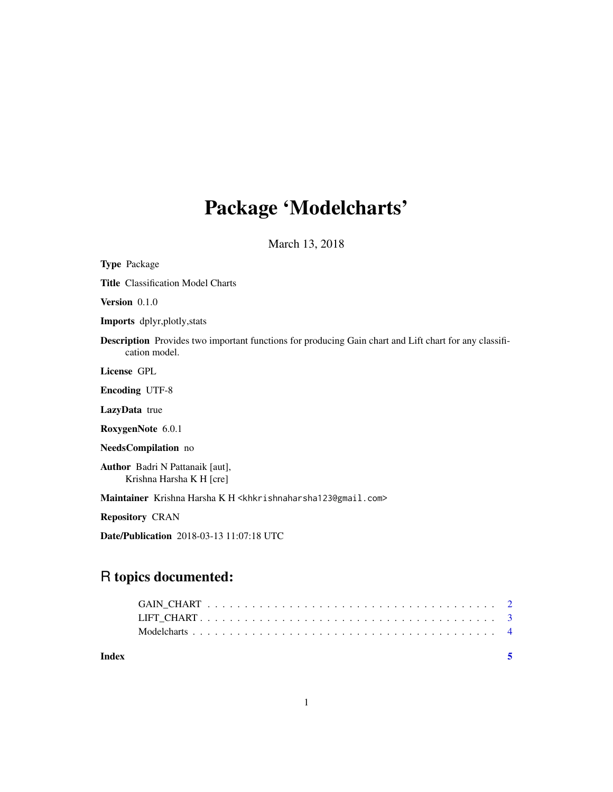# Package 'Modelcharts'

March 13, 2018

| <b>Type Package</b>                                                                                                            |
|--------------------------------------------------------------------------------------------------------------------------------|
| <b>Title Classification Model Charts</b>                                                                                       |
| Version $0.1.0$                                                                                                                |
| Imports dplyr, plotly, stats                                                                                                   |
| <b>Description</b> Provides two important functions for producing Gain chart and Lift chart for any classifi-<br>cation model. |
| License GPL                                                                                                                    |
| <b>Encoding UTF-8</b>                                                                                                          |
| LazyData true                                                                                                                  |
| RoxygenNote 6.0.1                                                                                                              |
| NeedsCompilation no                                                                                                            |
| <b>Author</b> Badri N Pattanaik [aut],<br>Krishna Harsha K H [cre]                                                             |
| Maintainer Krishna Harsha K H <khkrishnaharsha123@gmail.com></khkrishnaharsha123@gmail.com>                                    |
| <b>Repository CRAN</b>                                                                                                         |
| <b>Date/Publication</b> 2018-03-13 11:07:18 UTC                                                                                |

# R topics documented:

**Index** [5](#page-4-0). The second state of the second state of the second state of the second state  $\sim$  5.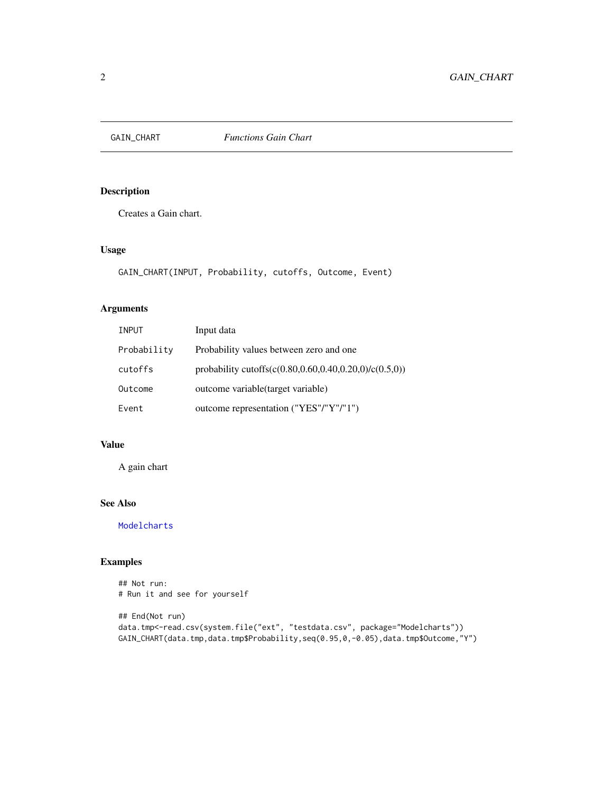<span id="page-1-1"></span><span id="page-1-0"></span>

#### Description

Creates a Gain chart.

#### Usage

```
GAIN_CHART(INPUT, Probability, cutoffs, Outcome, Event)
```
# Arguments

| <b>INPUT</b> | Input data                                             |
|--------------|--------------------------------------------------------|
| Probability  | Probability values between zero and one.               |
| cutoffs      | probability cutoffs(c(0.80,0.60,0.40,0.20,0)/c(0.5,0)) |
| Outcome      | outcome variable (target variable)                     |
| Event        | outcome representation ("YES"/"Y"/"1")                 |

#### Value

A gain chart

### See Also

[Modelcharts](#page-3-1)

# Examples

```
## Not run:
# Run it and see for yourself
## End(Not run)
data.tmp<-read.csv(system.file("ext", "testdata.csv", package="Modelcharts"))
```

```
GAIN_CHART(data.tmp,data.tmp$Probability,seq(0.95,0,-0.05),data.tmp$Outcome,"Y")
```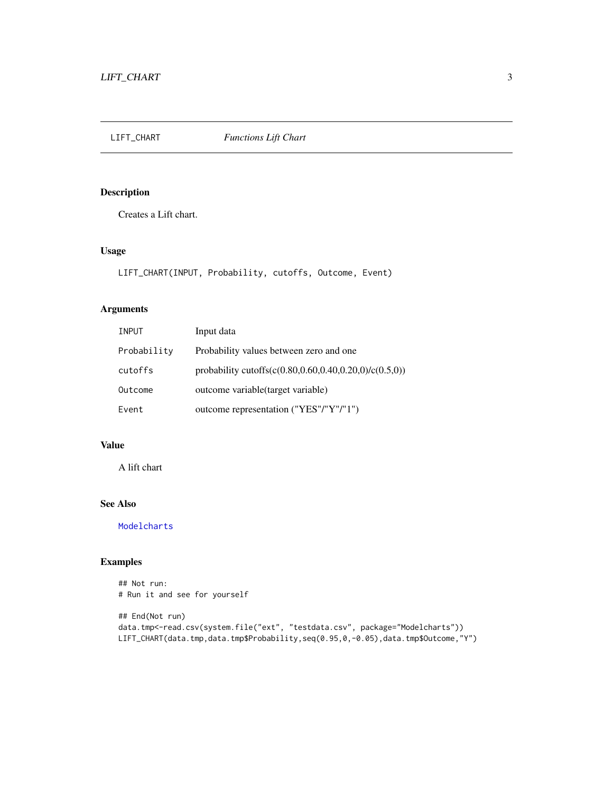<span id="page-2-1"></span><span id="page-2-0"></span>

# Description

Creates a Lift chart.

#### Usage

```
LIFT_CHART(INPUT, Probability, cutoffs, Outcome, Event)
```
#### Arguments

| <b>INPUT</b> | Input data                                             |
|--------------|--------------------------------------------------------|
| Probability  | Probability values between zero and one                |
| cutoffs      | probability cutoffs(c(0.80,0.60,0.40,0.20,0)/c(0.5,0)) |
| Outcome      | outcome variable (target variable)                     |
| Event        | outcome representation ("YES"/"Y"/"1")                 |

#### Value

A lift chart

# See Also

[Modelcharts](#page-3-1)

#### Examples

```
## Not run:
# Run it and see for yourself
## End(Not run)
data.tmp<-read.csv(system.file("ext", "testdata.csv", package="Modelcharts"))
LIFT_CHART(data.tmp,data.tmp$Probability,seq(0.95,0,-0.05),data.tmp$Outcome,"Y")
```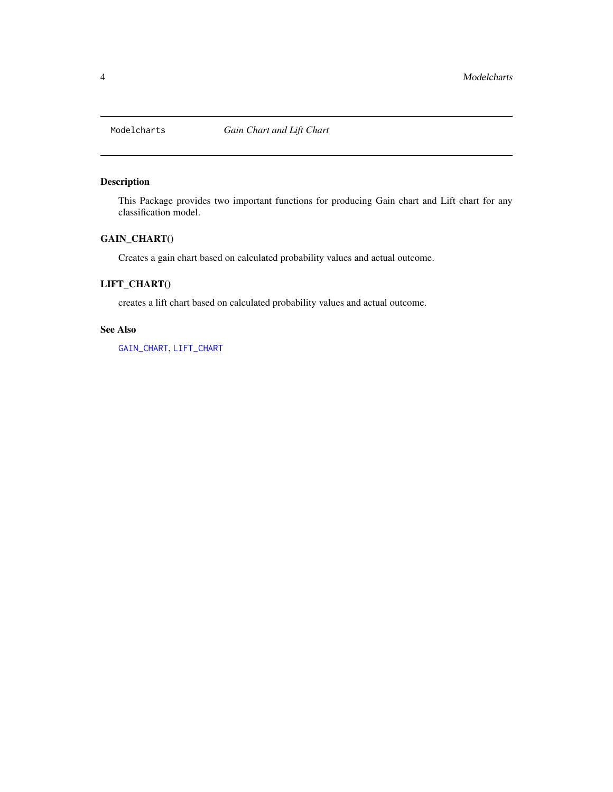<span id="page-3-1"></span><span id="page-3-0"></span>

# Description

This Package provides two important functions for producing Gain chart and Lift chart for any classification model.

# GAIN\_CHART()

Creates a gain chart based on calculated probability values and actual outcome.

# LIFT\_CHART()

creates a lift chart based on calculated probability values and actual outcome.

#### See Also

[GAIN\\_CHART](#page-1-1), [LIFT\\_CHART](#page-2-1)